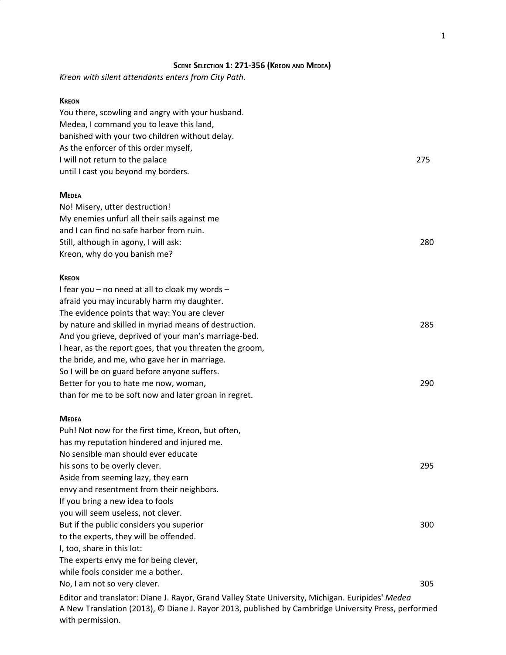### **SCENE SELECTION 1: 271-356 (KREON AND MEDEA)**

*Kreon with silent attendants enters from City Path.*

#### **KREON**

with permission.

| You there, scowling and angry with your husband.                                                                                                                                                        |  |
|---------------------------------------------------------------------------------------------------------------------------------------------------------------------------------------------------------|--|
| Medea, I command you to leave this land,                                                                                                                                                                |  |
| banished with your two children without delay.                                                                                                                                                          |  |
| As the enforcer of this order myself,                                                                                                                                                                   |  |
| I will not return to the palace<br>275                                                                                                                                                                  |  |
| until I cast you beyond my borders.                                                                                                                                                                     |  |
| <b>MEDEA</b>                                                                                                                                                                                            |  |
| No! Misery, utter destruction!                                                                                                                                                                          |  |
| My enemies unfurl all their sails against me                                                                                                                                                            |  |
| and I can find no safe harbor from ruin.                                                                                                                                                                |  |
| Still, although in agony, I will ask:<br>280                                                                                                                                                            |  |
| Kreon, why do you banish me?                                                                                                                                                                            |  |
| <b>KREON</b>                                                                                                                                                                                            |  |
| I fear you - no need at all to cloak my words -                                                                                                                                                         |  |
| afraid you may incurably harm my daughter.                                                                                                                                                              |  |
| The evidence points that way: You are clever                                                                                                                                                            |  |
| by nature and skilled in myriad means of destruction.<br>285                                                                                                                                            |  |
| And you grieve, deprived of your man's marriage-bed.                                                                                                                                                    |  |
| I hear, as the report goes, that you threaten the groom,                                                                                                                                                |  |
| the bride, and me, who gave her in marriage.                                                                                                                                                            |  |
| So I will be on guard before anyone suffers.                                                                                                                                                            |  |
| 290<br>Better for you to hate me now, woman,                                                                                                                                                            |  |
| than for me to be soft now and later groan in regret.                                                                                                                                                   |  |
| <b>MEDEA</b>                                                                                                                                                                                            |  |
| Puh! Not now for the first time, Kreon, but often,                                                                                                                                                      |  |
| has my reputation hindered and injured me.                                                                                                                                                              |  |
| No sensible man should ever educate                                                                                                                                                                     |  |
| his sons to be overly clever.<br>295                                                                                                                                                                    |  |
| Aside from seeming lazy, they earn                                                                                                                                                                      |  |
| envy and resentment from their neighbors.                                                                                                                                                               |  |
| If you bring a new idea to fools                                                                                                                                                                        |  |
| you will seem useless, not clever.                                                                                                                                                                      |  |
| But if the public considers you superior<br>300                                                                                                                                                         |  |
| to the experts, they will be offended.                                                                                                                                                                  |  |
| I, too, share in this lot:                                                                                                                                                                              |  |
| The experts envy me for being clever,                                                                                                                                                                   |  |
| while fools consider me a bother.                                                                                                                                                                       |  |
| No, I am not so very clever.<br>305                                                                                                                                                                     |  |
| Editor and translator: Diane J. Rayor, Grand Valley State University, Michigan. Euripides' Medea<br>A New Translation (2013), © Diane J. Rayor 2013, published by Cambridge University Press, performed |  |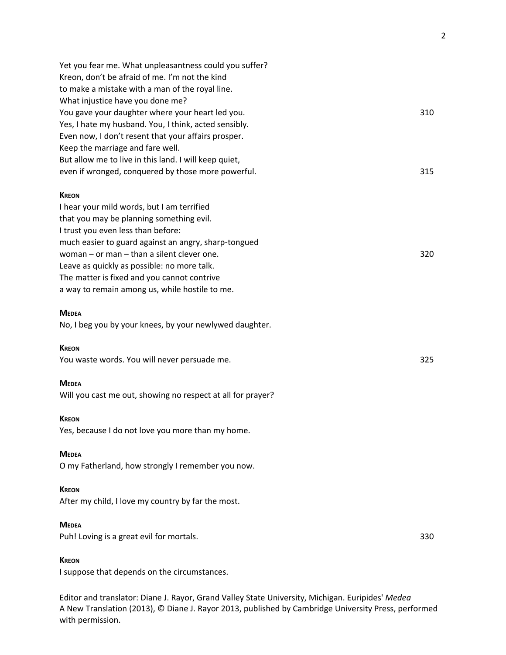| Yet you fear me. What unpleasantness could you suffer?      |     |
|-------------------------------------------------------------|-----|
| Kreon, don't be afraid of me. I'm not the kind              |     |
| to make a mistake with a man of the royal line.             |     |
| What injustice have you done me?                            |     |
| You gave your daughter where your heart led you.            | 310 |
| Yes, I hate my husband. You, I think, acted sensibly.       |     |
| Even now, I don't resent that your affairs prosper.         |     |
| Keep the marriage and fare well.                            |     |
| But allow me to live in this land. I will keep quiet,       |     |
| even if wronged, conquered by those more powerful.          | 315 |
| <b>KREON</b>                                                |     |
| I hear your mild words, but I am terrified                  |     |
| that you may be planning something evil.                    |     |
| I trust you even less than before:                          |     |
| much easier to guard against an angry, sharp-tongued        |     |
| woman - or man - than a silent clever one.                  | 320 |
| Leave as quickly as possible: no more talk.                 |     |
| The matter is fixed and you cannot contrive                 |     |
| a way to remain among us, while hostile to me.              |     |
| <b>MEDEA</b>                                                |     |
| No, I beg you by your knees, by your newlywed daughter.     |     |
| <b>KREON</b>                                                |     |
| You waste words. You will never persuade me.                | 325 |
| <b>MEDEA</b>                                                |     |
| Will you cast me out, showing no respect at all for prayer? |     |
| <b>KREON</b>                                                |     |
| Yes, because I do not love you more than my home.           |     |
| <b>MEDEA</b>                                                |     |
| O my Fatherland, how strongly I remember you now.           |     |
| <b>KREON</b>                                                |     |
| After my child, I love my country by far the most.          |     |
| <b>MEDEA</b>                                                |     |
| Puh! Loving is a great evil for mortals.                    | 330 |
| <b>KREON</b>                                                |     |
| I suppose that depends on the circumstances.                |     |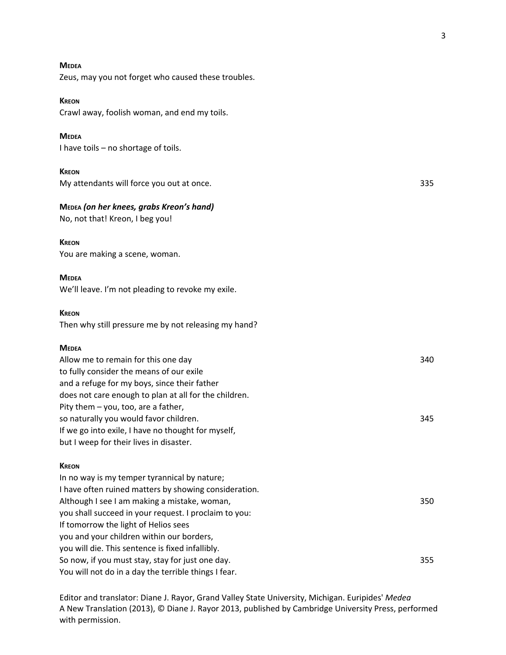3

# My attendants will force you out at once. 335 Allow me to remain for this one day 340 to fully consider the means of our exile and a refuge for my boys, since their father does not care enough to plan at all for the children. Pity them – you, too, are a father, so naturally you would favor children. 345

#### **KREON**

In no way is my temper tyrannical by nature; I have often ruined matters by showing consideration. Although I see I am making a mistake, woman, 350 you shall succeed in your request. I proclaim to you: If tomorrow the light of Helios sees you and your children within our borders, you will die. This sentence is fixed infallibly. So now, if you must stay, stay for just one day. 355 You will not do in a day the terrible things I fear.

Editor and translator: Diane J. Rayor, Grand Valley State University, Michigan. Euripides' *Medea* A New Translation (2013), © Diane J. Rayor 2013, published by Cambridge University Press, performed with permission.

#### **MEDEA**

Zeus, may you not forget who caused these troubles.

#### **KREON**

Crawl away, foolish woman, and end my toils.

#### **MEDEA**

I have toils – no shortage of toils.

#### **KREON**

#### **MEDEA** *(on her knees, grabs Kreon's hand)*

No, not that! Kreon, I beg you!

#### **KREON**

You are making a scene, woman.

#### **MEDEA**

We'll leave. I'm not pleading to revoke my exile.

If we go into exile, I have no thought for myself,

but I weep for their lives in disaster.

#### **KREON**

Then why still pressure me by not releasing my hand?

#### **MEDEA**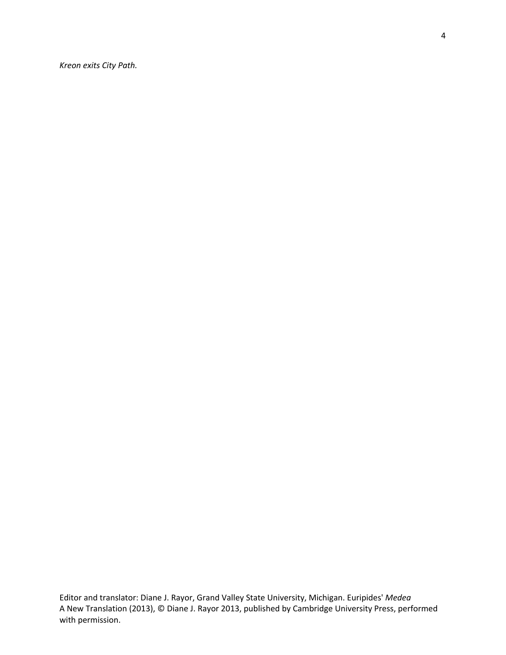*Kreon exits City Path.*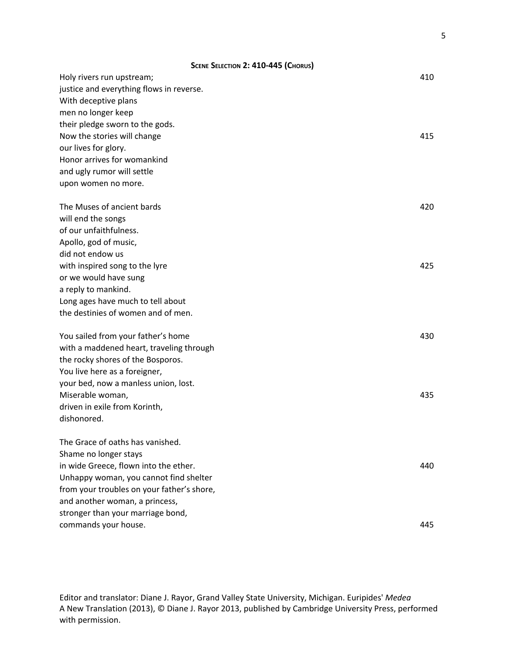| SCENE SELECTION 2: 410-445 (CHORUS)        |     |
|--------------------------------------------|-----|
| Holy rivers run upstream;                  | 410 |
| justice and everything flows in reverse.   |     |
| With deceptive plans                       |     |
| men no longer keep                         |     |
| their pledge sworn to the gods.            |     |
| Now the stories will change                | 415 |
| our lives for glory.                       |     |
| Honor arrives for womankind                |     |
| and ugly rumor will settle                 |     |
| upon women no more.                        |     |
| The Muses of ancient bards                 | 420 |
| will end the songs                         |     |
| of our unfaithfulness.                     |     |
| Apollo, god of music,                      |     |
| did not endow us                           |     |
| with inspired song to the lyre             | 425 |
| or we would have sung                      |     |
| a reply to mankind.                        |     |
| Long ages have much to tell about          |     |
| the destinies of women and of men.         |     |
| You sailed from your father's home         | 430 |
| with a maddened heart, traveling through   |     |
| the rocky shores of the Bosporos.          |     |
| You live here as a foreigner,              |     |
| your bed, now a manless union, lost.       |     |
| Miserable woman,                           | 435 |
| driven in exile from Korinth,              |     |
| dishonored.                                |     |
| The Grace of oaths has vanished.           |     |
| Shame no longer stays                      |     |
| in wide Greece, flown into the ether.      | 440 |
| Unhappy woman, you cannot find shelter     |     |
| from your troubles on your father's shore, |     |
| and another woman, a princess,             |     |
| stronger than your marriage bond,          |     |
| commands your house.                       | 445 |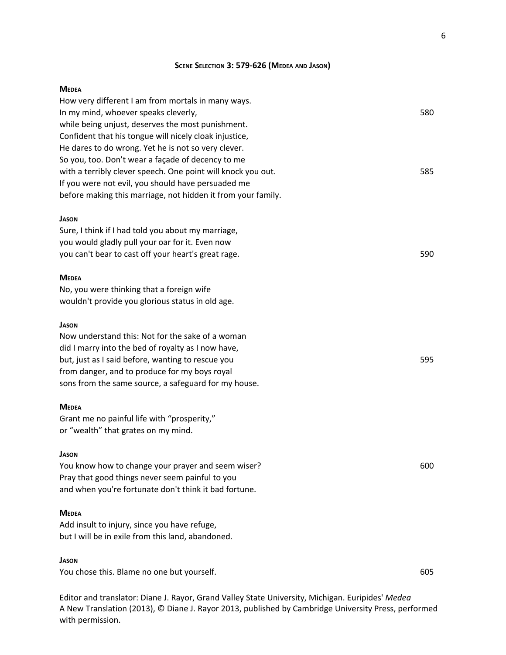#### **MEDEA**

| How very different I am from mortals in many ways.           |     |
|--------------------------------------------------------------|-----|
| In my mind, whoever speaks cleverly,                         | 580 |
| while being unjust, deserves the most punishment.            |     |
| Confident that his tongue will nicely cloak injustice,       |     |
| He dares to do wrong. Yet he is not so very clever.          |     |
| So you, too. Don't wear a façade of decency to me            |     |
| with a terribly clever speech. One point will knock you out. | 585 |
| If you were not evil, you should have persuaded me           |     |
| before making this marriage, not hidden it from your family. |     |
| <b>JASON</b>                                                 |     |
| Sure, I think if I had told you about my marriage,           |     |
| you would gladly pull your oar for it. Even now              |     |
| you can't bear to cast off your heart's great rage.          | 590 |
| <b>MEDEA</b>                                                 |     |
| No, you were thinking that a foreign wife                    |     |
| wouldn't provide you glorious status in old age.             |     |
| <b>JASON</b>                                                 |     |
| Now understand this: Not for the sake of a woman             |     |
| did I marry into the bed of royalty as I now have,           |     |
| but, just as I said before, wanting to rescue you            | 595 |
| from danger, and to produce for my boys royal                |     |
| sons from the same source, a safeguard for my house.         |     |
| <b>MEDEA</b>                                                 |     |
| Grant me no painful life with "prosperity,"                  |     |
| or "wealth" that grates on my mind.                          |     |
| <b>JASON</b>                                                 |     |
| You know how to change your prayer and seem wiser?           | 600 |
| Pray that good things never seem painful to you              |     |
| and when you're fortunate don't think it bad fortune.        |     |
| <b>MEDEA</b>                                                 |     |
| Add insult to injury, since you have refuge,                 |     |
| but I will be in exile from this land, abandoned.            |     |
| <b>JASON</b>                                                 |     |
| You chose this. Blame no one but yourself.                   | 605 |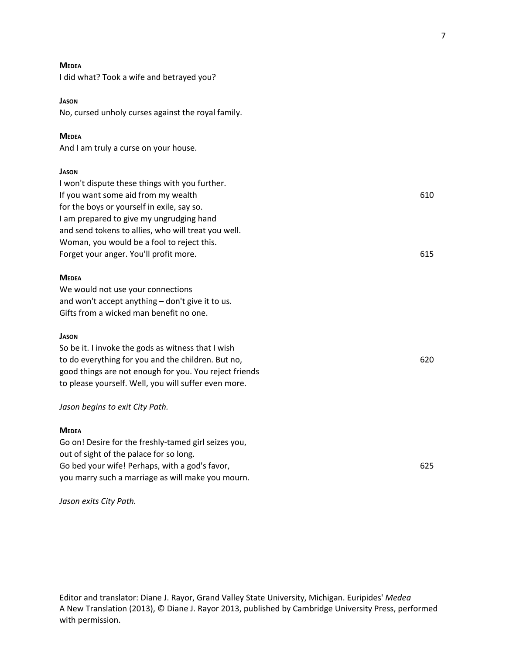| - |  |
|---|--|
|---|--|

I did what? Took a wife and betrayed you?

#### **JASON**

No, cursed unholy curses against the royal family.

#### **MEDEA**

And I am truly a curse on your house.

#### **JASON**

I won't dispute these things with you further. If you want some aid from my wealth 610 for the boys or yourself in exile, say so. I am prepared to give my ungrudging hand and send tokens to allies, who will treat you well. Woman, you would be a fool to reject this. Forget your anger. You'll profit more. 615

#### **MEDEA**

We would not use your connections and won't accept anything – don't give it to us. Gifts from a wicked man benefit no one.

#### **JASON**

So be it. I invoke the gods as witness that I wish to do everything for you and the children. But no, 620 good things are not enough for you. You reject friends to please yourself. Well, you will suffer even more.

#### *Jason begins to exit City Path.*

#### **MEDEA**

Go on! Desire for the freshly-tamed girl seizes you, out of sight of the palace for so long. Go bed your wife! Perhaps, with a god's favor, **625** 625 you marry such a marriage as will make you mourn.

#### *Jason exits City Path.*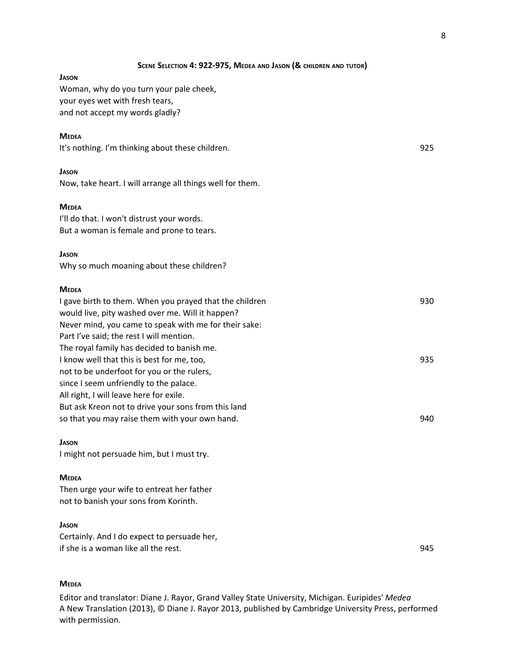8

| SCENE SELECTION 4: 922-975, MEDEA AND JASON (& CHILDREN AND TUTOR)                                    |     |
|-------------------------------------------------------------------------------------------------------|-----|
| Jason                                                                                                 |     |
| Woman, why do you turn your pale cheek,                                                               |     |
| your eyes wet with fresh tears,                                                                       |     |
| and not accept my words gladly?                                                                       |     |
| <b>MEDEA</b>                                                                                          |     |
| It's nothing. I'm thinking about these children.                                                      | 925 |
| <b>JASON</b>                                                                                          |     |
| Now, take heart. I will arrange all things well for them.                                             |     |
|                                                                                                       |     |
| <b>MEDEA</b>                                                                                          |     |
| I'll do that. I won't distrust your words.                                                            |     |
| But a woman is female and prone to tears.                                                             |     |
| <b>JASON</b>                                                                                          |     |
| Why so much moaning about these children?                                                             |     |
| <b>MEDEA</b>                                                                                          |     |
| I gave birth to them. When you prayed that the children                                               | 930 |
| would live, pity washed over me. Will it happen?                                                      |     |
| Never mind, you came to speak with me for their sake:                                                 |     |
| Part I've said; the rest I will mention.                                                              |     |
| The royal family has decided to banish me.                                                            |     |
| I know well that this is best for me, too,                                                            | 935 |
| not to be underfoot for you or the rulers,                                                            |     |
| since I seem unfriendly to the palace.                                                                |     |
| All right, I will leave here for exile.                                                               |     |
| But ask Kreon not to drive your sons from this land<br>so that you may raise them with your own hand. | 940 |
|                                                                                                       |     |
| <b>JASON</b>                                                                                          |     |
| I might not persuade him, but I must try.                                                             |     |
| <b>MEDEA</b>                                                                                          |     |
| Then urge your wife to entreat her father                                                             |     |

not to banish your sons from Korinth.

#### **JASON**

Certainly. And I do expect to persuade her, if she is a woman like all the rest. 945

#### **MEDEA**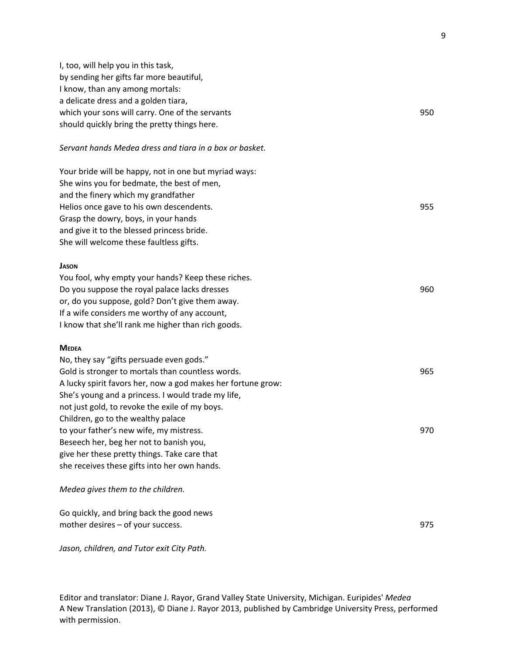I, too, will help you in this task, by sending her gifts far more beautiful, I know, than any among mortals: a delicate dress and a golden tiara, which your sons will carry. One of the servants **950** and the servants of the servants should quickly bring the pretty things here. *Servant hands Medea dress and tiara in a box or basket.* Your bride will be happy, not in one but myriad ways: She wins you for bedmate, the best of men, and the finery which my grandfather Helios once gave to his own descendents. 955 Grasp the dowry, boys, in your hands and give it to the blessed princess bride. She will welcome these faultless gifts. **JASON** You fool, why empty your hands? Keep these riches. Do you suppose the royal palace lacks dresses 960 or, do you suppose, gold? Don't give them away. If a wife considers me worthy of any account, I know that she'll rank me higher than rich goods. **MEDEA** No, they say "gifts persuade even gods." Gold is stronger to mortals than countless words. The strong strong strong strong strong strong strong strong strong strong strong strong strong strong strong strong strong strong strong strong strong strong strong strong A lucky spirit favors her, now a god makes her fortune grow: She's young and a princess. I would trade my life, not just gold, to revoke the exile of my boys. Children, go to the wealthy palace to your father's new wife, my mistress. 970 Beseech her, beg her not to banish you, give her these pretty things. Take care that she receives these gifts into her own hands. *Medea gives them to the children.* Go quickly, and bring back the good news mother desires – of your success. 975

*Jason, children, and Tutor exit City Path.*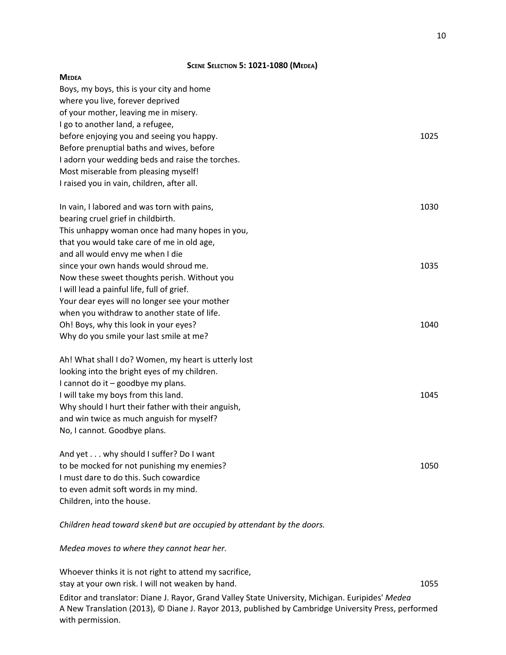#### **SCENE SELECTION 5: 1021-1080 (MEDEA)**

| <b>MEDEA</b>                                         |      |
|------------------------------------------------------|------|
| Boys, my boys, this is your city and home            |      |
| where you live, forever deprived                     |      |
| of your mother, leaving me in misery.                |      |
| I go to another land, a refugee,                     |      |
| before enjoying you and seeing you happy.            | 1025 |
| Before prenuptial baths and wives, before            |      |
| I adorn your wedding beds and raise the torches.     |      |
| Most miserable from pleasing myself!                 |      |
| I raised you in vain, children, after all.           |      |
| In vain, I labored and was torn with pains,          | 1030 |
| bearing cruel grief in childbirth.                   |      |
| This unhappy woman once had many hopes in you,       |      |
| that you would take care of me in old age,           |      |
| and all would envy me when I die                     |      |
| since your own hands would shroud me.                | 1035 |
| Now these sweet thoughts perish. Without you         |      |
| I will lead a painful life, full of grief.           |      |
| Your dear eyes will no longer see your mother        |      |
| when you withdraw to another state of life.          |      |
| Oh! Boys, why this look in your eyes?                | 1040 |
| Why do you smile your last smile at me?              |      |
| Ah! What shall I do? Women, my heart is utterly lost |      |
| looking into the bright eyes of my children.         |      |
| I cannot do it - goodbye my plans.                   |      |
| I will take my boys from this land.                  | 1045 |
| Why should I hurt their father with their anguish,   |      |
| and win twice as much anguish for myself?            |      |
| No, I cannot. Goodbye plans.                         |      |
| And yet why should I suffer? Do I want               |      |
| to be mocked for not punishing my enemies?           | 1050 |
| I must dare to do this. Such cowardice               |      |
| to even admit soft words in my mind.                 |      |
| Children, into the house.                            |      |

*Children head toward sken*<sup>ē</sup> *but are occupied by attendant by the doors.*

*Medea moves to where they cannot hear her.*

Whoever thinks it is not right to attend my sacrifice, stay at your own risk. I will not weaken by hand. The state of the state of the state of the state of the state of the state of the state of the state of the state of the state of the state of the state of the state of the Editor and translator: Diane J. Rayor, Grand Valley State University, Michigan. Euripides' *Medea* A New Translation (2013), © Diane J. Rayor 2013, published by Cambridge University Press, performed with permission.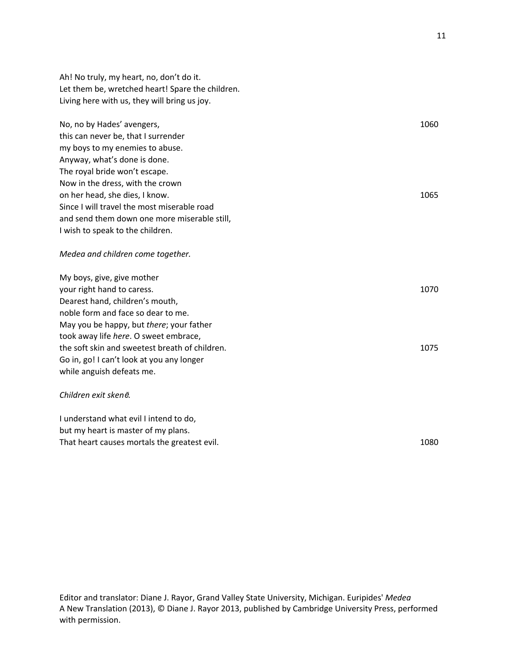Ah! No truly, my heart, no, don't do it. Let them be, wretched heart! Spare the children. Living here with us, they will bring us joy.

No, no by Hades' avengers, 1060 this can never be, that I surrender my boys to my enemies to abuse. Anyway, what's done is done. The royal bride won't escape. Now in the dress, with the crown on her head, she dies, I know. 1065 Since I will travel the most miserable road and send them down one more miserable still, I wish to speak to the children.

#### *Medea and children come together.*

My boys, give, give mother your right hand to caress. 1070 Dearest hand, children's mouth, noble form and face so dear to me. May you be happy, but *there*; your father took away life *here*. O sweet embrace, the soft skin and sweetest breath of children. 1075 Go in, go! I can't look at you any longer while anguish defeats me. *Children exit sken*ē*.*

## I understand what evil I intend to do,

but my heart is master of my plans. That heart causes mortals the greatest evil. That heart causes mortals the greatest evil.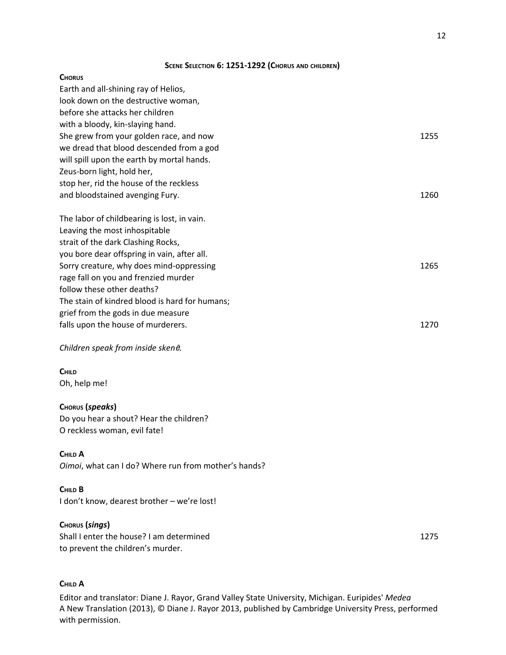#### **SCENE SELECTION 6: 1251-1292 (CHORUS AND CHILDREN)**

#### **CHORUS**

| Earth and all-shining ray of Helios,           |      |
|------------------------------------------------|------|
| look down on the destructive woman,            |      |
| before she attacks her children                |      |
| with a bloody, kin-slaying hand.               |      |
| She grew from your golden race, and now        | 1255 |
| we dread that blood descended from a god       |      |
| will spill upon the earth by mortal hands.     |      |
| Zeus-born light, hold her,                     |      |
| stop her, rid the house of the reckless        |      |
| and bloodstained avenging Fury.                | 1260 |
| The labor of childbearing is lost, in vain.    |      |
| Leaving the most inhospitable                  |      |
| strait of the dark Clashing Rocks,             |      |
| you bore dear offspring in vain, after all.    |      |
| Sorry creature, why does mind-oppressing       | 1265 |
| rage fall on you and frenzied murder           |      |
| follow these other deaths?                     |      |
| The stain of kindred blood is hard for humans; |      |
| grief from the gods in due measure             |      |
| falls upon the house of murderers.             | 1270 |

#### *Children speak from inside sken*ē*.*

## **CHILD**

Oh, help me!

#### **CHORUS (***speaks***)**

Do you hear a shout? Hear the children? O reckless woman, evil fate!

#### **CHILD A**

*Oimoi*, what can I do? Where run from mother's hands?

#### **CHILD B**

I don't know, dearest brother – we're lost!

#### **CHORUS (***sings***)**

Shall I enter the house? I am determined 1275 to prevent the children's murder.

#### **CHILD A**